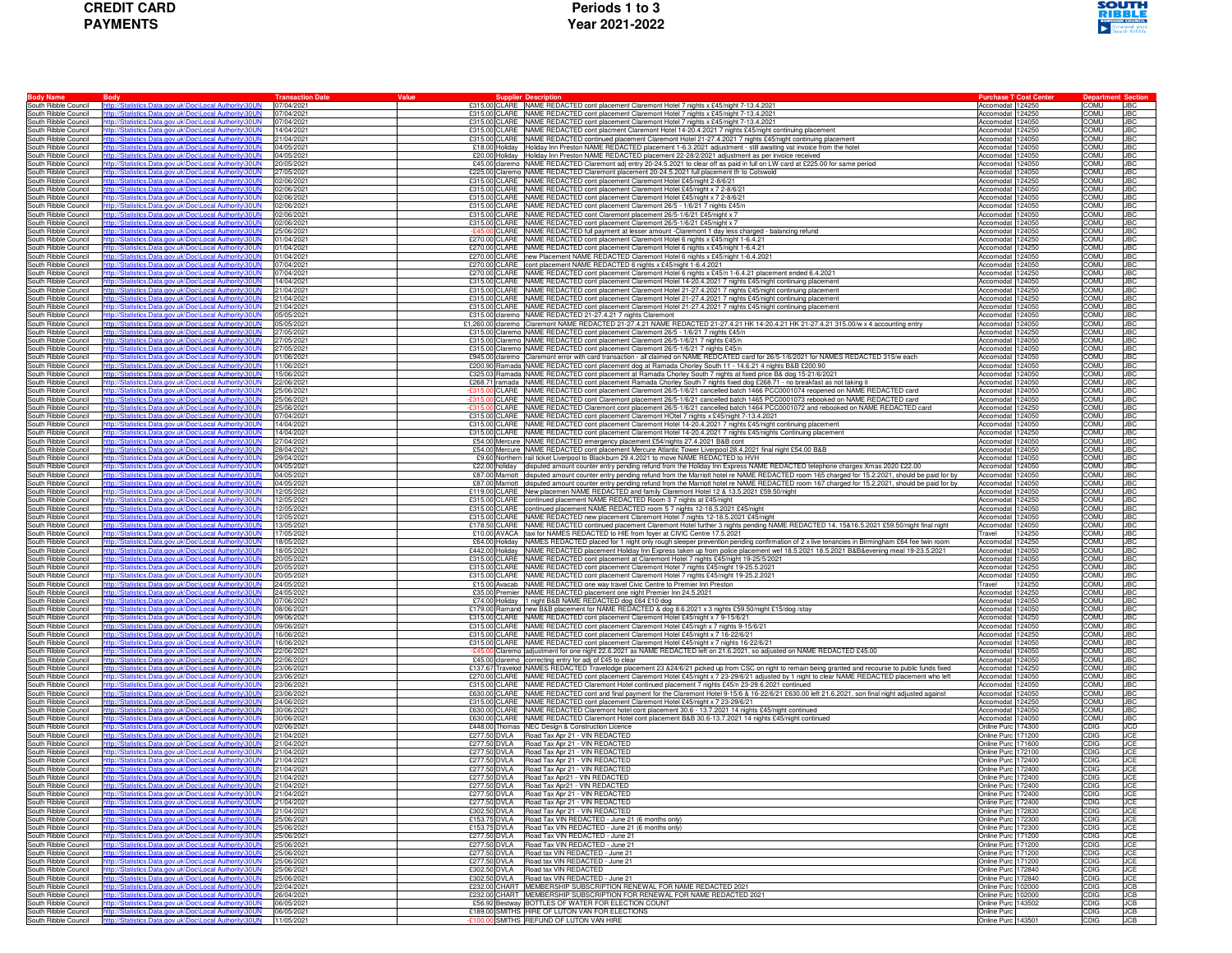| <b>CREDIT CARD</b> |  |
|--------------------|--|
| <b>PAYMENTS</b>    |  |



| ody Name                                     |                                                                                                              | <b>Fransaction Date</b>  |                                                                                                                                                                                                                                                        | Purchase T≀Cost Cente                         |                     |                          |
|----------------------------------------------|--------------------------------------------------------------------------------------------------------------|--------------------------|--------------------------------------------------------------------------------------------------------------------------------------------------------------------------------------------------------------------------------------------------------|-----------------------------------------------|---------------------|--------------------------|
| South Ribble Council                         | ics Data gov.uk\Doc\Local Authority\30UN                                                                     | 07/04/202                | £315.00 CLARE NAME REDACTED cont placement Claremont Hotel 7 nights x £45/night 7-13.4.2021                                                                                                                                                            | Accomodat 124250                              | COMU                | <b>JBC</b>               |
| South Ribble Council                         | Clistatistics Data nov uk\Doc\Local Authority\30UN                                                           | 07/04/2021               | £315.00 CLARE NAME REDACTED cont placement Claremont Hotel 7 nights x £45/night 7-13.4.2021                                                                                                                                                            | Accomodat 124250                              | COMU                | <b>UBC</b>               |
| South Ribble Council                         | //Statistics.Data.gov.uk\Doc\Local Authority\30UN                                                            | 07/04/202                | £315.00 CLARE NAME REDACTED cont placement Claremont Hotel 7 nights x £45/night 7-13.4.2021                                                                                                                                                            | Accomodat<br>124050                           | <b>COMU</b>         | <b>JBC</b>               |
| South Ribble Council<br>South Ribble Council | p://Statistics.Data.gov.uk\Doc\Local Authority\30UN<br>p://Statistics.Data.gov.uk\Doc\Local Authority\30UN   | 14/04/2021<br>21/04/2021 | £315.00 CLARE NAME REDACTED cont placment Claremont Hotel 14-20.4.2021 7 nights £45/night continuing placement<br>£315.00 CLARE NAME REDACTED continued placement Claremont Hotel 21-27.4.2021 7 nights £45/night continuing placement                 | Accomodat 124250<br>124050<br>Accomodat       | COMU<br>COMU        | JBC<br><b>JBC</b>        |
| South Ribble Council                         |                                                                                                              | 04/05/202                | £18.00 Holiday Holiday Inn Preston NAME REDACTED placement 1-6.3.2021 adjustment - still awaiting vat invoice from the hotel                                                                                                                           | Accomodat<br>124050                           | COMU                | <b>JBC</b>               |
| South Ribble Council                         |                                                                                                              | 04/05/2021               | £20.00 Holiday Holiday Inn Preston NAME REDACTED placement 22-28/2/2021 adjustment as per invoice received                                                                                                                                             | 124050<br>Accomodat                           | COMU                | LIBC.                    |
| South Ribble Council                         | p://Statistics.Data.gov.uk\Doc\Local Authority\30UN                                                          | 20/05/2021               | £45.00 claremo NAME REDACTED Claremont adj entry 20-24.5.2021 to clear off as paid in full on LW card at £225.00 for same period                                                                                                                       | Accomodat 124050                              | <b>COMU</b>         | <b>JBC</b>               |
| South Ribble Council                         | p://Statistics.Data.gov.uk\Doc\Local Authority\30UN                                                          | 27/05/2021               | £225.00 Claremo NAME REDACTED Claremont placement 20-24.5.2021 full placement tfr to Cotswold                                                                                                                                                          | Accomodat 124050                              | <b>COMU</b>         | <b>JBC</b>               |
| South Ribble Council                         |                                                                                                              | 02/06/2021               | £315.00 CLARE NAME REDACTED cont placement Claremont Hotel £45/night 2-8/6/21                                                                                                                                                                          | Accomodat 124250                              | COMU                | <b>JBC</b>               |
| South Ribble Council                         |                                                                                                              | 02/06/202                | £315.00 CLARE NAME REDACTED cont placement Claremont Hotel £45/night x 7 2-8/6/21                                                                                                                                                                      | Accomodat 124050                              | COMU                | <b>JBC</b>               |
| South Ribble Council                         | stics Data gov.uk\Doc\Local Authority\                                                                       | 02/06/2021               | £315.00 CLARE NAME REDACTED cont placement Claremont Hotel £45/night x 7 2-8/6/21                                                                                                                                                                      | Accomodat 124050                              | COMU                | <b>JBC</b>               |
| South Ribble Council                         | ://Statistics.Data.gov.uk\Doc\Local Authority\30UN                                                           | 02/06/2021               | £315.00 CLARE NAME REDACTED cont placement Claremont 26/5 - 1/6/21 7 nights £45/n                                                                                                                                                                      | Accomodat<br>124050                           | <b>COMU</b>         | <b>JBC</b>               |
| South Ribble Council                         | p://Statistics.Data.gov.uk\Doc\Local Authority\30UN                                                          | 02/06/2021               | £315.00 CLARE NAME REDACTED cont Claremont placement 26/5-1/6/21 £45/night x 7                                                                                                                                                                         | Accomodat 124050                              | COMU                | JBC                      |
| South Ribble Council                         | stics.Data.gov.uk\Doc\Local Authority\30UN                                                                   | 02/06/2021               | £315.00 CLARE NAME REDACTED cont placement Claremont 26/5-1/6/21 £45/night x 7                                                                                                                                                                         | 124050<br>Accomodat                           | COMU                | <b>JBC</b>               |
| South Ribble Council                         | stics Data nov uk\Doc\Local Authority                                                                        | 25/06/2021               | CLARE NAME REDACTED full payment at lesser amount -Claremont 1 day less charged - balancing refund                                                                                                                                                     | Accomodat<br>124050                           | COMU<br>COMU        | <b>JBC</b><br>JBC        |
| South Ribble Council<br>South Ribble Council | o://Statistics.Data.gov.uk\Doc\Local.Authority\30UN                                                          | 01/04/2021               | £270.00 CLARE NAME REDACTED cont placement Claremont Hotel 6 nights x £45/night 1-6.4.21<br>£270.00 CLARE NAME REDACTED cont placement Claremont Hotel 6 nights x £45/night 1-6.4.21                                                                   | 124250<br>Accomodat                           | <b>COMU</b>         |                          |
|                                              | p://Statistics.Data.gov.uk\Doc\Local Authority\30UN                                                          | 01/04/2021<br>01/04/2021 |                                                                                                                                                                                                                                                        | Accomodat 124250<br>Accomodat 124050          | <b>COMU</b>         | <b>JBC</b><br><b>JBC</b> |
| South Ribble Council<br>South Ribble Council | //Statistics.Data.gov.uk\Doc\Local Authority\30UN                                                            | 07/04/2021               | £270.00 CLARE new Placement NAME REDACTED Claremont Hotel 6 nights x £45/night 1-6.4.2021<br>£270.00 CLARE cont placement NAME REDACTED 6 nights x £45/night 1-6.4.2021                                                                                | Accomodat 124050                              | COMU                | <b>JBC</b>               |
| South Ribble Council                         |                                                                                                              | 07/04/2021               | £270.00 CLARE NAME REDACTED cont placement Claremont Hotel 6 nights x £45/n 1-6.4.21 placement ended 6.4.2021                                                                                                                                          | Accomodat 124250                              | COMU                | <b>JBC</b>               |
| South Ribble Council                         | istics Data gov uk\Doc\Local Authority\?                                                                     | 14/04/2021               | £315.00 CLARE NAME REDACTED cont placement Claremont Hotel 14-20.4.2021 7 nights £45/night continuing placement                                                                                                                                        | Accomodat 124050                              | COMU                | JBC.                     |
| South Ribble Council                         | b://Statistics.Data.gov.uk\Doc\Local Authority\30UN                                                          | 21/04/2021               | £315.00 CLARE NAME REDACTED cont placement Claremont Hotel 21-27.4.2021 7 nights £45/night continuing placement                                                                                                                                        | Accomodat 124250                              | <b>COMU</b>         | <b>JBC</b>               |
| South Ribble Council                         | p://Statistics.Data.gov.uk\Doc\Local Authority\30UN                                                          | 21/04/2021               | £315.00 CLARE NAME REDACTED cont placement Claremont Hotel 21-27.4.2021 7 nights £45/night continuing placement                                                                                                                                        | Accomodat 124250                              | COMU                | <b>JBC</b>               |
| South Ribble Council                         |                                                                                                              | 21/04/2021               | £315.00 CLARE NAME REDACTED cont placement Claremont Hotel 21-27.4.2021 7 nights £45/night continuing placement                                                                                                                                        | 124050<br>Accomodat                           | COMU                | <b>JBC</b>               |
| South Ribble Council                         |                                                                                                              | 05/05/2021               | £315.00 claremo NAME REDACTED 21-27.4.21 7 nights Claremont                                                                                                                                                                                            | Accomodat<br>124050                           | COMU                | <b>JBC</b>               |
| South Ribble Council                         |                                                                                                              | 05/05/2021               | £1,260.00 claremo Claremont NAME REDACTED 21-27.4.21 NAME REDACTED 21-27.4.21 HK 14-20.4.21 HK 21-27.4.21 315.00/w x 4 accounting entry                                                                                                                | Accomodat 124050                              | COMU                | <b>JBC</b>               |
| South Ribble Council                         | ://Statistics.Data.gov.uk\Doc\Local Authority\30UN                                                           | 27/05/2021               | £315.00 Claremo NAME REDACTED cont placement Claremont 26/5 - 1/6/21 7 nights £45/n                                                                                                                                                                    | Accomodat<br>124250                           | <b>COMU</b>         | <b>JBC</b>               |
| South Ribble Council                         | p://Statistics.Data.gov.uk\Doc\Local Authority\30UN<br>://Statistics.Data.gov.uk\Doc\Local Authority\30UN    | 27/05/2021<br>27/05/2021 | £315.00 Claremo NAME REDACTED cont placement Claremont 26/5-1/6/21 7 nights £45/n<br>£315.00 Claremo NAME REDACTED cont placement Claremont 26/5-1/6/21 7 nights £45/n                                                                                 | Accomodat 124050<br>124050<br>Accomodat       | <b>COMU</b><br>COMU | JBC<br><b>JBC</b>        |
| South Ribble Council                         |                                                                                                              |                          |                                                                                                                                                                                                                                                        |                                               |                     |                          |
| South Ribble Council<br>South Ribble Council |                                                                                                              | 01/06/2021<br>11/06/2021 | £945.00 claremo Claremont error with card transaction - all claimed on NAME REDCATED card for 26/5-1/6/2021 for NAMES REDACTED 315/w each<br>£200.90 Ramada NAME REDACTED cont placement dog at Ramada Chorley South 11 - 14.6.21 4 nights B&B £200.90 | Accomodat 124050<br>Accomodat 124050          | COMU<br>COMU        | <b>JBC</b><br>JBC        |
| South Ribble Council                         | ://Statistics.Data.gov.uk\Doc\Local Authority\30UN                                                           | 15/06/2021               | £325.03 Ramada NAME REDACTED cont placement at Ramada Chorley South 7 nights at fixed price B& dog 15-21/6/2021                                                                                                                                        | Accomodat<br>124050                           | <b>COMU</b>         | <b>JBC</b>               |
| South Ribble Council                         | p://Statistics.Data.gov.uk\Doc\Local Authority\30UN                                                          | 22/06/2021               | £268.71 ramada NAME REDACTED cont placement Ramada Chorley South 7 nights fixed dog £268.71 - no breakfast as not taking it                                                                                                                            | 124050<br>Accomodat                           | <b>COMU</b>         | <b>JBC</b>               |
| South Ribble Council                         |                                                                                                              | 25/06/2021               | CLARE NAME REDACTED cont placement Claremont 26/5-1/6/21 cancelled batch 1466 PCC0001074 reopened on NAME REDACTED card                                                                                                                                | 124050<br>Accomodat                           | COMU                | <b>JBC</b>               |
| South Ribble Council                         |                                                                                                              | 25/06/202                | CLARE NAME REDACTED cont Claremont placement 26/5-1/6/21 cancelled batch 1465 PCC0001073 rebooked on NAME REDACTED card                                                                                                                                | Accomodat 124050                              | COMU                | <b>JBC</b>               |
| South Ribble Council                         | stics Data gov.uk\Doc\Local Authority                                                                        | 25/06/2021               | -8315.0<br>CLARE NAME REDACTED Claremont cont placement 26/5-1/6/21 cancelled batch 1464 PCC0001072 and rebooked on NAME REDACTED card                                                                                                                 | Accomodat 124250                              | COMU                | <b>JBC</b>               |
| South Ribble Council                         | p://Statistics.Data.gov.uk\Doc\Local Authority\30UN                                                          | 07/04/2021               | £315.00 CLARE NAME REDACTED cont placement Claremont HOtel 7 nights x £45/night 7-13.4.2021                                                                                                                                                            | Accomodat 124050                              | <b>COMU</b>         | <b>JBC</b>               |
| South Ribble Council                         | p://Statistics.Data.gov.uk\Doc\Local Authority\30UN                                                          | 14/04/2021               | £315.00 CLARE NAME REDACTED cont placement Claremont Hotel 14-20.4.2021 7 nights £45/night continuing placement                                                                                                                                        | Accomodat 124050                              | <b>COMU</b>         | JBC                      |
| South Ribble Council                         | stics.Data.gov.uk\Doc\Local Authority\30UN                                                                   | 14/04/2021               | £315.00 CLARE NAME REDACTED cont placement Claremont Hotel 14-20.4.2021 7 nights £45/nights Continuing placement                                                                                                                                       | 124250<br>Accomodat                           | COMU                | <b>JBC</b>               |
| South Ribble Council                         | a gov.uk\Doc\Local Authority                                                                                 | 27/04/2021               | £54.00 Mercure NAME REDACTED emergency placement £54/nights 27.4.2021 B&B cont                                                                                                                                                                         | Accomodat 124050                              | COMU                | <b>JBC</b>               |
| South Ribble Council                         | Statistics.Data.gov.uk\Doc\Local Authority\                                                                  | 28/04/2021               | £54.00 Mercure NAME REDACTED cont placement Mercure Atlantic Tower Liverpool 28.4.2021 final night £54.00 B&B<br>£9.60 Northern rail ticket Liverpool to Blackburn 29.4.2021 to move NAME REDACTED to HVH                                              | Accomodat 124050                              | COMU<br><b>COMU</b> | JBC                      |
| South Ribble Council<br>South Ribble Council | p://Statistics.Data.gov.uk\Doc\Local Authority\30UN                                                          | 29/04/2021<br>04/05/2021 | £22.00 holiday   disputed amount counter entry pending refund from the Holiday Inn Express NAME REDACTED telephone charges Xmas 2020 £22.00                                                                                                            | Accomodat<br>124050<br>124050<br>Accomodat    | <b>COMU</b>         | <b>JBC</b><br><b>JBC</b> |
| South Ribble Council                         | b://Statistics.Data.gov.uk\Doc\Local Authority\30UN                                                          | 04/05/2021               | £87.00 Marriott disputed amount counter entry pending refund from the Marriott hotel re NAME REDACTED room 165 charged for 15.2.2021, should be paid for by                                                                                            | 124050<br>Accomodat                           | COMU                | <b>JBC</b>               |
| South Ribble Council                         |                                                                                                              | 04/05/202                | £87.00 Marriott disputed amount counter entry pending refund from the Marriott hotel re NAME REDACTED room 167 charged for 15.2.2021, should be paid for by                                                                                            | Accomodat<br>124050                           | COMU                | <b>JBC</b>               |
| South Ribble Council                         |                                                                                                              | 12/05/2021               | £119.00 CLARE New placemen NAME REDACTED and family Claremont Hotel 12 & 13.5.2021 £59.50/night                                                                                                                                                        | Accomodat 124050                              | COMU                | LIBC.                    |
| South Ribble Council                         | n://Statistics.Data.gov.uk\Doc\Local.Authority\30UN                                                          | 12/05/2021               | £315.00 CLARE continued placement NAME REDACTED Room 3 7 nights at £45/night                                                                                                                                                                           | 124250<br>Accomodat                           | <b>COMU</b>         | <b>JBC</b>               |
| South Ribble Council                         | p://Statistics.Data.gov.uk\Doc\Local Authority\30UN                                                          | 12/05/2021               | £315.00 CLARE continued placement NAME REDACTED room 5 7 nights 12-18.5.2021 £45/night                                                                                                                                                                 | Accomodat 124050                              | <b>COMU</b>         | <b>JBC</b>               |
| South Ribble Council                         |                                                                                                              | 12/05/2021               | £315.00 CLARE NAME REDACTED new placement Claremont Hotel 7 nights 12-18.5.2021 £45/night                                                                                                                                                              | 124050<br>Accomodat                           | COMU                | <b>JBC</b>               |
| South Ribble Council                         |                                                                                                              | 13/05/2021               | £178.50 CLARE NAME REDACTED continued placement Claremont Hotel further 3 nights pending NAME REDACTED 14, 15&16.5.2021 £59.50/night final night                                                                                                       | Accomodat 124050                              | COMU                | <b>JBC</b>               |
| South Ribble Council                         | ta gov uk\Doc\Local Authority                                                                                | 17/05/2021               | £10.00 AVACA taxi for NAMES REDACTED to HIE from foyer at CIVIC Centre 17.5.2021                                                                                                                                                                       | 124250<br>Travel                              | COMU                | <b>JBC</b>               |
| South Ribble Council                         | Statistics.Data.gov.uk\Doc\Local Authority\                                                                  | 18/05/2021               | £64.00 Holiday NAMES REDACTED placed for 1 night only rough sleeper prevention pending confirmation of 2 x live tenancies in Birmingham £64 fee twin room                                                                                              | Accomodat<br>124250                           | <b>COMU</b>         | <b>JBC</b>               |
| South Ribble Council                         | p://Statistics.Data.gov.uk\Doc\Local Authority\30UN<br>p://Statistics.Data.gov.uk\Doc\Local Authority\30UN   | 18/05/2021               | £442.00 Holiday NAME REDACTED placement Holiday Inn Express taken up from police placement wef 18.5.2021 18.5.2021 B&B&evening meal 19-23.5.2021                                                                                                       | Accomodat<br>124050<br>124050                 | <b>COMU</b><br>COMU | JBC<br><b>JBC</b>        |
| South Ribble Council<br>South Ribble Council |                                                                                                              | 20/05/2021<br>20/05/2021 | £315.00 CLARE NAME REDACTED cont placement at Claremont Hotel 7 nights £45/night 19-25/5/2021<br>£315.00 CLARE NAME REDACTED cont placement Claremont Hotel 7 nights £45/night 19-25.5.2021                                                            | Accomodat<br>Accomodat<br>124250              | COMU                | <b>JBC</b>               |
| South Ribble Council                         |                                                                                                              | 20/05/2021               | £315.00 CLARE NAME REDACTED cont placement Claremont Hotel 7 nights £45/night 19-25.2.2021                                                                                                                                                             | Accomodat 124050                              | COMU                | JBC                      |
| South Ribble Council                         | p://Statistics.Data.gov.uk\Doc\Local Authority\30UN                                                          | 24/05/2021               | £15.00 Avacab NAME REDACTED one way travel Civic Centre to Premier Inn Preston                                                                                                                                                                         | 124250<br>Travel                              | <b>COMU</b>         | <b>JBC</b>               |
| South Ribble Council                         | p://Statistics.Data.gov.uk\Doc\Local Authority\30UN                                                          | 24/05/2021               | £35.00 Premier NAME REDACTED placement one night Premier Inn 24.5.2021                                                                                                                                                                                 | Accomodat 124250                              | <b>COMU</b>         | <b>JBC</b>               |
| South Ribble Council                         |                                                                                                              | 07/06/2021               | £74.00 Holiday 1 night B&B NAME REDACTED dog £64 £10 dog                                                                                                                                                                                               | Accomodat 124050                              | COMU                | <b>JBC</b>               |
| South Ribble Council                         |                                                                                                              | 08/06/202                | £179.00 Ramand new B&B placement for NAME REDACTED & dog 8.6.2021 x 3 nights £59.50/night £15/dog /stay                                                                                                                                                | Accomodat 124050                              | COMU                | <b>JBC</b>               |
| South Ribble Council                         | /Statistics.Data.gov.uk\Doc\Local Authority                                                                  | 09/06/2021               | £315.00 CLARE NAME REDACTED cont placement Claremont Hotel £45/night x 7 9-15/6/21                                                                                                                                                                     | Accomodat 124250                              | COMU                | <b>JBC</b>               |
| South Ribble Council                         | ://Statistics.Data.gov.uk\Doc\Local Authority\30UN                                                           | 09/06/2021               | £315.00 CLARE NAME REDACTED cont placement Claremont Hotel £45/nigh x 7 nights 9-15/6/21                                                                                                                                                               | Accomodat 124050                              | <b>COMU</b>         | <b>JBC</b>               |
| South Ribble Council                         | p://Statistics.Data.gov.uk\Doc\Local Authority\30UN                                                          | 16/06/2021               | £315.00 CLARE NAME REDACTED cont placement Claremont Hotel £45/night x 7 16-22/6/21                                                                                                                                                                    | Accomodat 124250                              | COMU                | JBC                      |
| South Ribble Council                         | stics.Data.gov.uk\Doc\Local Authority\30UN                                                                   | 16/06/2021               | £315.00 CLARE NAME REDACTED cont placement Claremont Hotel £45/night x 7 nights 16-22/6/21                                                                                                                                                             | 124050<br>Accomodat                           | COMU                | <b>JBC</b>               |
| South Ribble Council                         |                                                                                                              | 22/06/2021               | Claremo adjustment for one night 22.6.2021 as NAME REDACTED left on 21.6.2021, so adjusted on NAME REDACTED £45.00                                                                                                                                     | Accomodat<br>124050<br>124050                 | <b>COMU</b><br>COMU | <b>JBC</b><br>JBC        |
| South Ribble Council<br>South Ribble Council | ://Statistics.Data.gov.uk\Doc\Local Authority\3                                                              | 22/06/2021<br>23/06/2021 | £45.00 claremo correcting entry for adj of £45 to clear<br>£137.67 Travelod NAMES REDACTED Travelodge placement 23 &24/6/21 picked up from CSC on right to remain being granted and recourse to public funds fixed                                     | Accomodat<br>124250<br>Accomodat              | <b>COMU</b>         | <b>JBC</b>               |
| South Ribble Council                         | p://Statistics.Data.gov.uk\Doc\Local Authority\30UN                                                          | 23/06/2021               | £270.00 CLARE NAME REDACTED cont placement Claremont Hotel £45/night x 7 23-29/6/21 adjusted by 1 night to clear NAME REDACTED placement who left                                                                                                      | Accomodat 124050                              | <b>COMU</b>         | <b>JBC</b>               |
| South Ribble Council                         | stics.Data.gov.uk\Doc\Local Authority\30UN                                                                   | 23/06/2021               | £315.00 CLARE NAME REDACTED Claremont Hotel continued placement 7 nights £45/n 23-29.6.2021 continued                                                                                                                                                  | Accomodat 124050                              | COMU                | <b>JBC</b>               |
| South Ribble Council                         |                                                                                                              | 23/06/2021               | £630.00 CLARE NAME REDACTED cont and final payment for the Claremont Hotel 9-15/6 & 16-22/6/21 £630.00 left 21.6.2021, son final night adjusted against                                                                                                | Accomodat 124050                              | COMU                | <b>JBC</b>               |
| South Ribble Council                         |                                                                                                              | 24/06/2021               | £315.00 CLARE NAME REDACTED cont placement Claremont Hotel £45/night x 7 23-29/6/21                                                                                                                                                                    | Accomodat 124250                              | COMU                | JBC.                     |
| South Ribble Council                         | ://Statistics.Data.gov.uk\Doc\Local Authority\30UN                                                           | 30/06/2021               | £630.00 CLARE NAME REDACTED Claremont hotel cont placement 30.6 - 13.7.2021 14 nights £45/night continued                                                                                                                                              | Accomodat<br>124050                           | <b>COMU</b>         | <b>JBC</b>               |
| South Ribble Council                         | p://Statistics.Data.gov.uk\Doc\Local Authority\30UN                                                          | 30/06/2021               | £630.00 CLARE NAME REDACTED Claremont Hotel cont placement B&B 30.6-13.7.2021 14 nights £45/night continued                                                                                                                                            | Accomodat<br>124050                           | COMU                | <b>JBC</b>               |
| South Ribble Council                         |                                                                                                              | 02/06/2021               | £448.00 Thomas   NEC Design & Construction Licence                                                                                                                                                                                                     | 174300<br>Online Purc                         | <b>CDIG</b>         | <b>JCD</b>               |
| South Ribble Council                         |                                                                                                              | 21/04/2021               | £277.50 DVLA Road Tax Apr 21 - VIN REDACTED                                                                                                                                                                                                            | Online Purc<br>171200                         | CDIG                | <b>JCE</b>               |
| South Ribble Council                         | stics Data gov uk\Doc\Local Authority\30LIN                                                                  | 21/04/2021               | £277.50 DVLA Road Tax Apr 21 - VIN REDACTED                                                                                                                                                                                                            | Online Purc 171600                            | <b>CDIG</b>         | <b>JCF</b>               |
| South Ribble Council                         | ://Statistics.Data.gov.uk\Doc\Local Authority\30UN                                                           | 21/04/202                | £277.50 DVLA Road Tax Apr 21 - VIN REDACTED                                                                                                                                                                                                            | Online Purc<br>172100                         | CDIG                | <b>JCE</b>               |
| South Ribble Council<br>South Ribble Council | tp://Statistics.Data.gov.uk\Doc\Local Authority\30UN<br>tp://Statistics.Data.gov.uk\Doc\Local Authority\30UN | 21/04/2021<br>21/04/202  | £277.50 DVLA Road Tax Apr 21 - VIN REDACTED<br>£277.50 DVLA Road Tax Apr 21 - VIN REDACTED                                                                                                                                                             | Online Purc 172400<br>172400<br>Online Purc I | CDIG<br><b>CDIG</b> | <b>JCE</b><br><b>JCE</b> |
| South Ribble Council                         | tp://Statistics.Data.gov.uk\Doc\Local Authority\30UN                                                         | 21/04/202                | £277.50 DVLA Road Tax Apr21 - VIN REDACTED                                                                                                                                                                                                             | Online Purc 172400                            | CDIG                | <b>JCE</b>               |
| South Ribble Council                         | p://Statistics.Data.gov.uk\Doc\Local Authority\30UN                                                          | 21/04/2021               | Road Tax Apr21 - VIN REDACTED<br>£277.50 DVLA                                                                                                                                                                                                          | Online Purc 172400                            | CDIG                | <b>LICE</b>              |
| South Ribble Council                         | ttp://Statistics.Data.gov.uk\Doc\Local Authority\30UN                                                        | 21/04/2021               | £277.50 DVLA Road Tax Apr 21 - VIN REDACTED                                                                                                                                                                                                            | Online Purc 172400                            | <b>CDIG</b>         | <b>JCE</b>               |
| South Ribble Council                         | tp://Statistics.Data.gov.uk\Doc\Local Authority\30UN                                                         | 21/04/2021               | £277.50 DVLA Road Tax Apr 21 - VIN REDACTED                                                                                                                                                                                                            | Online Purc 172400                            | CDIG                | <b>JCE</b>               |
| South Ribble Council                         | p://Statistics.Data.gov.uk\Doc\Local Authority\30UN                                                          | 21/04/2021               | £302.50 DVLA Road Tax Apr 21 - VIN REDACTED                                                                                                                                                                                                            | Online Purc<br>172830                         | <b>CDIG</b>         | <b>JCE</b>               |
| South Ribble Council                         | //Statistics.Data.gov.uk\Doc\Local Authority                                                                 | 25/06/2021               | £153.75 DVLA Road Tax VIN REDACTED - June 21 (6 months only)                                                                                                                                                                                           | Online Purc<br>172300                         | CDIG                | <b>JCE</b>               |
| South Ribble Council                         | p://Statistics.Data.gov.uk\Doc\Local Authority\30UN                                                          | 25/06/2021               | £153.75 DVLA Road Tax VIN REDACTED - June 21 (6 months only)                                                                                                                                                                                           | Online Purc 172300                            | CDIG                | <b>JCE</b>               |
| South Ribble Council                         | tp://Statistics.Data.gov.uk\Doc\Local Authority\30UN                                                         | 25/06/2021               | £277.50 DVLA Road Tax VIN REDACTED - June 21                                                                                                                                                                                                           | Online Purc 171200                            | <b>CDIG</b>         | <b>JCE</b>               |
| South Ribble Council                         | tp://Statistics.Data.gov.uk\Doc\Local Authority\30UN<br>p://Statistics.Data.gov.uk\Doc\Local Authority\30UN  | 25/06/2021               | £277.50 DVLA Road Tax VIN REDACTED - June 21                                                                                                                                                                                                           | Online Purc 171200                            | <b>CDIG</b>         | <b>JCE</b>               |
| South Ribble Council                         |                                                                                                              | 25/06/2021               | £277.50 DVLA Road tax VIN REDACTED - June 21                                                                                                                                                                                                           | Online Purc<br>171200                         | <b>CDIG</b>         | <b>JCE</b>               |
| South Ribble Council                         | //Statistics Data gov uk\Doc\Local Authority\30UN                                                            | 25/06/2021<br>25/06/2021 | £277.50 DVLA Road tax VIN REDACTED - June 21<br>£302.50 DVLA Road tax VIN REDACTED                                                                                                                                                                     | Online Purc 171200<br>Online Purc 172840      | CDIG<br>CDIG        | <b>JCE</b><br><b>JCF</b> |
| South Ribble Council<br>South Ribble Council | n://Statistics.Data.gov.uk\Doc\Local.Authority\30UN                                                          | 25/06/2021               | £302.50 DVLA Road tax VIN REDACTED - June 21                                                                                                                                                                                                           | Online Purc 172840                            | CDIG                | <b>JCE</b>               |
| South Ribble Council                         | tp://Statistics.Data.gov.uk\Doc\Local Authority\30UN                                                         | 22/04/2021               | £232.00 CHART MEMBERSHIP SUBSCRIPTION RENEWAL FOR NAME REDACTED 2021                                                                                                                                                                                   | Online Purc 102000                            | CDIG                | <b>JCB</b>               |
| South Ribble Council                         | p://Statistics.Data.gov.uk\Doc\Local Authority\30UN                                                          | 26/04/2021               | £232.00 CHART MEMBERSHIP SUBSCRIPTION FOR RENEWAL FOR NAME REDACTED 2021                                                                                                                                                                               | Online Purc 102000                            | <b>CDIG</b>         | <b>JCB</b>               |
| South Ribble Council                         | p://Statistics.Data.gov.uk\Doc\Local Authority\30UN                                                          | 06/05/2021               | £56.92 Bestway BOTTLES OF WATER FOR ELECTION COUNT                                                                                                                                                                                                     | Online Purc 143502                            | CDIG                | <b>JCB</b>               |
| South Ribble Council                         | ://Statistics.Data.gov.uk\Doc\Local Authority\30UN                                                           | 06/05/2021               | £189.00 SMITHS HIRE OF LUTON VAN FOR ELECTIONS                                                                                                                                                                                                         | Online Purc                                   | CDIG                | <b>JCB</b>               |
| South Ribble Council                         | ttp://Statistics.Data.gov.uk\Doc\Local Authority\30UN                                                        | 11/05/2021               | £100.00 SMITHS REFUND OF LUTON VAN HIRE                                                                                                                                                                                                                | Online Purc 143501                            | <b>CDIG</b>         | <b>JCB</b>               |
|                                              |                                                                                                              |                          |                                                                                                                                                                                                                                                        |                                               |                     |                          |